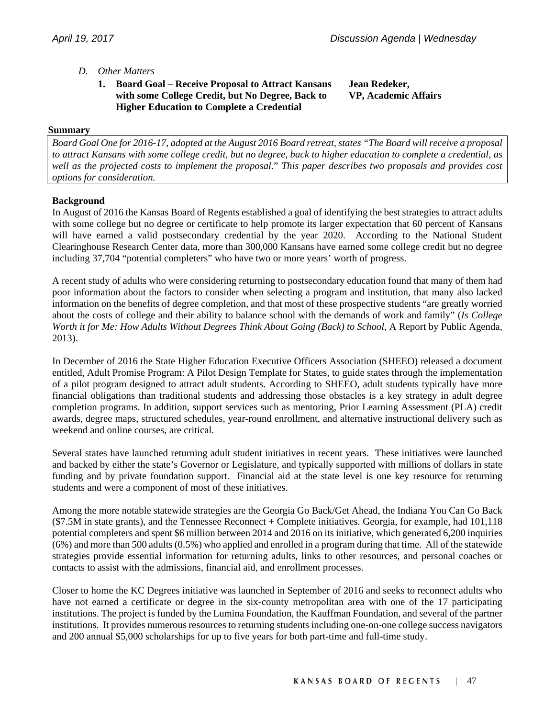# *D. Other Matters*

 **1. Board Goal – Receive Proposal to Attract Kansans with some College Credit, but No Degree, Back to Higher Education to Complete a Credential** 

**Jean Redeker, VP, Academic Affairs** 

### **Summary**

*Board Goal One for 2016-17, adopted at the August 2016 Board retreat, states "The Board will receive a proposal to attract Kansans with some college credit, but no degree, back to higher education to complete a credential, as well as the projected costs to implement the proposal*." *This paper describes two proposals and provides cost options for consideration.* 

### **Background**

In August of 2016 the Kansas Board of Regents established a goal of identifying the best strategies to attract adults with some college but no degree or certificate to help promote its larger expectation that 60 percent of Kansans will have earned a valid postsecondary credential by the year 2020. According to the National Student Clearinghouse Research Center data, more than 300,000 Kansans have earned some college credit but no degree including 37,704 "potential completers" who have two or more years' worth of progress.

A recent study of adults who were considering returning to postsecondary education found that many of them had poor information about the factors to consider when selecting a program and institution, that many also lacked information on the benefits of degree completion, and that most of these prospective students "are greatly worried about the costs of college and their ability to balance school with the demands of work and family" (*Is College Worth it for Me: How Adults Without Degrees Think About Going (Back) to School, A Report by Public Agenda,* 2013).

In December of 2016 the State Higher Education Executive Officers Association (SHEEO) released a document entitled, Adult Promise Program: A Pilot Design Template for States, to guide states through the implementation of a pilot program designed to attract adult students. According to SHEEO, adult students typically have more financial obligations than traditional students and addressing those obstacles is a key strategy in adult degree completion programs. In addition, support services such as mentoring, Prior Learning Assessment (PLA) credit awards, degree maps, structured schedules, year-round enrollment, and alternative instructional delivery such as weekend and online courses, are critical.

Several states have launched returning adult student initiatives in recent years. These initiatives were launched and backed by either the state's Governor or Legislature, and typically supported with millions of dollars in state funding and by private foundation support. Financial aid at the state level is one key resource for returning students and were a component of most of these initiatives.

Among the more notable statewide strategies are the Georgia Go Back/Get Ahead, the Indiana You Can Go Back (\$7.5M in state grants), and the Tennessee Reconnect + Complete initiatives. Georgia, for example, had 101,118 potential completers and spent \$6 million between 2014 and 2016 on its initiative, which generated 6,200 inquiries (6%) and more than 500 adults (0.5%) who applied and enrolled in a program during that time. All of the statewide strategies provide essential information for returning adults, links to other resources, and personal coaches or contacts to assist with the admissions, financial aid, and enrollment processes.

Closer to home the KC Degrees initiative was launched in September of 2016 and seeks to reconnect adults who have not earned a certificate or degree in the six-county metropolitan area with one of the 17 participating institutions. The project is funded by the Lumina Foundation, the Kauffman Foundation, and several of the partner institutions. It provides numerous resources to returning students including one-on-one college success navigators and 200 annual \$5,000 scholarships for up to five years for both part-time and full-time study.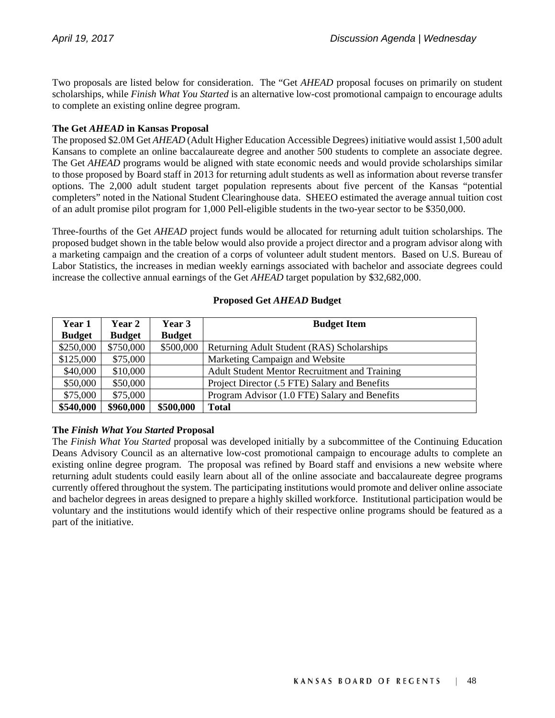Two proposals are listed below for consideration. The "Get *AHEAD* proposal focuses on primarily on student scholarships, while *Finish What You Started* is an alternative low-cost promotional campaign to encourage adults to complete an existing online degree program.

# **The Get** *AHEAD* **in Kansas Proposal**

The proposed \$2.0M Get *AHEAD* (Adult Higher Education Accessible Degrees) initiative would assist 1,500 adult Kansans to complete an online baccalaureate degree and another 500 students to complete an associate degree. The Get *AHEAD* programs would be aligned with state economic needs and would provide scholarships similar to those proposed by Board staff in 2013 for returning adult students as well as information about reverse transfer options. The 2,000 adult student target population represents about five percent of the Kansas "potential completers" noted in the National Student Clearinghouse data. SHEEO estimated the average annual tuition cost of an adult promise pilot program for 1,000 Pell-eligible students in the two-year sector to be \$350,000.

Three-fourths of the Get *AHEAD* project funds would be allocated for returning adult tuition scholarships. The proposed budget shown in the table below would also provide a project director and a program advisor along with a marketing campaign and the creation of a corps of volunteer adult student mentors. Based on U.S. Bureau of Labor Statistics, the increases in median weekly earnings associated with bachelor and associate degrees could increase the collective annual earnings of the Get *AHEAD* target population by \$32,682,000.

| Year 1        | <b>Year 2</b> | Year 3        | <b>Budget Item</b>                            |
|---------------|---------------|---------------|-----------------------------------------------|
| <b>Budget</b> | <b>Budget</b> | <b>Budget</b> |                                               |
| \$250,000     | \$750,000     | \$500,000     | Returning Adult Student (RAS) Scholarships    |
| \$125,000     | \$75,000      |               | Marketing Campaign and Website                |
| \$40,000      | \$10,000      |               | Adult Student Mentor Recruitment and Training |
| \$50,000      | \$50,000      |               | Project Director (.5 FTE) Salary and Benefits |
| \$75,000      | \$75,000      |               | Program Advisor (1.0 FTE) Salary and Benefits |
| \$540,000     | \$960,000     | \$500,000     | <b>Total</b>                                  |

#### **Proposed Get** *AHEAD* **Budget**

### **The** *Finish What You Started* **Proposal**

The *Finish What You Started* proposal was developed initially by a subcommittee of the Continuing Education Deans Advisory Council as an alternative low-cost promotional campaign to encourage adults to complete an existing online degree program. The proposal was refined by Board staff and envisions a new website where returning adult students could easily learn about all of the online associate and baccalaureate degree programs currently offered throughout the system. The participating institutions would promote and deliver online associate and bachelor degrees in areas designed to prepare a highly skilled workforce. Institutional participation would be voluntary and the institutions would identify which of their respective online programs should be featured as a part of the initiative.